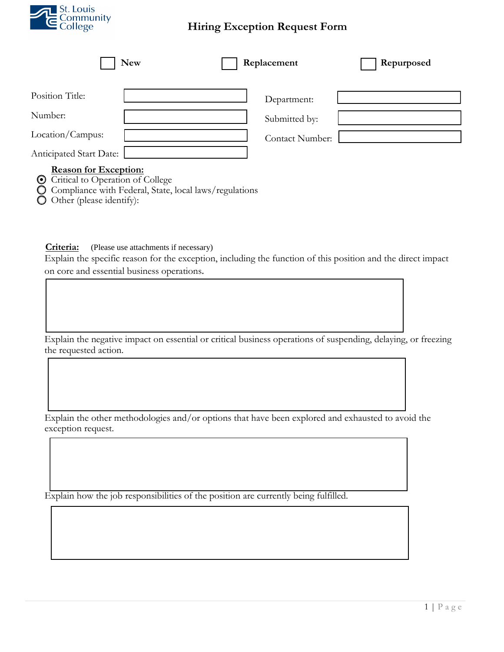

## **Hiring Exception Request Form**

| <b>New</b>                                             | Replacement     | Repurposed |
|--------------------------------------------------------|-----------------|------------|
| Position Title:                                        | Department:     |            |
| Number:                                                | Submitted by:   |            |
| Location/Campus:                                       | Contact Number: |            |
| Anticipated Start Date:<br>$\sim$ $\sim$ $\sim$ $\sim$ |                 |            |

## **Reason for Exception:**

- Critical to Operation of College
- Compliance with Federal, State, local laws/regulations
- $\bullet$  Other (please identify):

**Criteria:** (Please use attachments if necessary)

Explain the specific reason for the exception, including the function of this position and the direct impact on core and essential business operations.

Explain the negative impact on essential or critical business operations of suspending, delaying, or freezing the requested action.

Explain the other methodologies and/or options that have been explored and exhausted to avoid the exception request.

Explain how the job responsibilities of the position are currently being fulfilled.